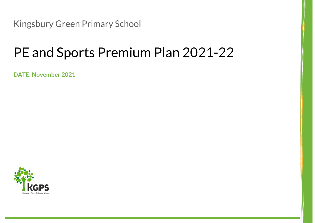Kingsbury Green Primary School

## PE and Sports Premium Plan 2021-22

**DATE: November 2021**

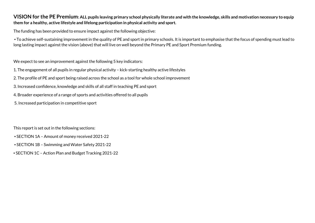## **VISION for the PE Premium: ALL pupils leaving primary school physically literate and with the knowledge, skills and motivation necessary to equip them for a healthy, active lifestyle and lifelong participation in physical activity and sport.**

The funding has been provided to ensure impact against the following objective:

▪ To achieve self-sustaining improvement in the quality of PE and sport in primary schools. It is important to emphasise that the focus of spending must lead to long lasting impact against the vision (above) that will live on well beyond the Primary PE and Sport Premium funding.

We expect to see an improvement against the following 5 key indicators:

- 1. The engagement of all pupils in regular physical activity kick-starting healthy active lifestyles
- 2. The profile of PE and sport being raised across the school as a tool for whole school improvement
- 3. Increased confidence, knowledge and skills of all staff in teaching PE and sport
- 4. Broader experience of a range of sports and activities offered to all pupils
- 5. Increased participation in competitive sport

This report is set out in the following sections:

- SECTION 1A Amount of money received 2021-22
- SECTION 1B Swimming and Water Safety 2021-22
- SECTION 1C Action Plan and Budget Tracking 2021-22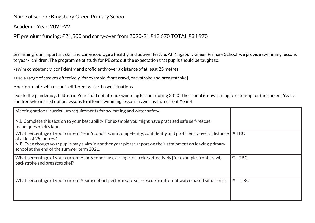Name of school: Kingsbury Green Primary School

Academic Year: 2021-22

PE premium funding: £21,300 and carry-over from 2020-21 £13,670 TOTAL £34,970

Swimming is an important skill and can encourage a healthy and active lifestyle. At Kingsbury Green Primary School, we provide swimming lessons to year 4 children. The programme of study for PE sets out the expectation that pupils should be taught to:

▪ swim competently, confidently and proficiently over a distance of at least 25 metres

• use a range of strokes effectively [for example, front crawl, backstroke and breaststroke]

▪ perform safe self-rescue in different water-based situations.

Due to the pandemic, children in Year 4 did not attend swimming lessons during 2020. The school is now aiming to catch-up for the current Year 5 children who missed out on lessons to attend swimming lessons as well as the current Year 4.

| Meeting national curriculum requirements for swimming and water safety.                                                                                                                                                                                                                            |                 |
|----------------------------------------------------------------------------------------------------------------------------------------------------------------------------------------------------------------------------------------------------------------------------------------------------|-----------------|
| N.B Complete this section to your best ability. For example you might have practised safe self-rescue<br>techniques on dry land.                                                                                                                                                                   |                 |
| What percentage of your current Year 6 cohort swim competently, confidently and proficiently over a distance<br>of at least 25 metres?<br>N.B. Even though your pupils may swim in another year please report on their attainment on leaving primary<br>school at the end of the summer term 2021. | % TBC           |
| What percentage of your current Year 6 cohort use a range of strokes effectively [for example, front crawl,<br>backstroke and breaststroke?                                                                                                                                                        | %<br><b>TBC</b> |
| What percentage of your current Year 6 cohort perform safe self-rescue in different water-based situations?                                                                                                                                                                                        | %<br><b>TBC</b> |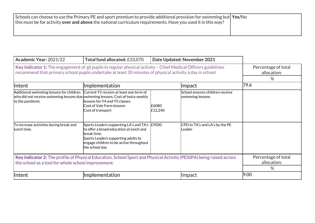| Schools can choose to use the Primary PE and sport premium to provide additional provision for swimming but Yes/No<br>$\vert$ this must be for activity over and above the national curriculum requirements. Have you used it in this way? |  |
|--------------------------------------------------------------------------------------------------------------------------------------------------------------------------------------------------------------------------------------------|--|
|                                                                                                                                                                                                                                            |  |

| Academic Year: 2021/22                                                                                                                                                                                                    | Total fund allocated: £33,070                                                                                                                                                                                  |                  | Date Updated: November 2021                         |                                         |
|---------------------------------------------------------------------------------------------------------------------------------------------------------------------------------------------------------------------------|----------------------------------------------------------------------------------------------------------------------------------------------------------------------------------------------------------------|------------------|-----------------------------------------------------|-----------------------------------------|
| Key indicator 1: The engagement of all pupils in regular physical activity - Chief Medical Officers guidelines<br>recommend that primary school pupils undertake at least 30 minutes of physical activity a day in school |                                                                                                                                                                                                                |                  |                                                     | Percentage of total<br>allocation:      |
|                                                                                                                                                                                                                           |                                                                                                                                                                                                                |                  |                                                     | %                                       |
| Intent                                                                                                                                                                                                                    | <b>Implementation</b>                                                                                                                                                                                          |                  | $ $ Impact                                          | 79.6                                    |
| Additional swimming lessons for children Current Y5 receive at least one term of<br>who did not receive swimming lessons due swimming lessons. Cost of twice weekly<br>to the pandemic                                    | lessons for Y4 and Y5 classes<br>Cost of Vale Farm lessons<br>Cost of transport                                                                                                                                | £6080<br>£12,240 | School ensures children receive<br>swimming lessons |                                         |
| To increase activities during break and<br>llunch time.                                                                                                                                                                   | Sports Leaders supporting LA's and TA's $E$ 9500<br>to offer a broad education at lunch and<br>break time.<br>Sports Leaders supporting adults to<br>engage children to be active throughout<br>the school day |                  | CPD to TA's and LA's by the PE<br>Leader            |                                         |
| Key indicator 2: The profile of Physical Education, School Sport and Physical Activity (PESSPA) being raised across<br>the school as a tool for whole school improvement.                                                 |                                                                                                                                                                                                                |                  |                                                     | Percentage of total<br>allocation:<br>% |
| <b>Intent</b>                                                                                                                                                                                                             | <b>Implementation</b>                                                                                                                                                                                          |                  | $\sf{Im}$ pact                                      | 9.00                                    |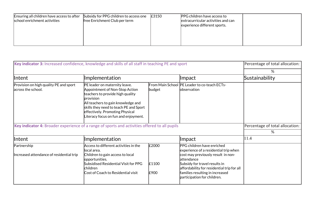| Ensuring all children have access to after<br>school enrichment activities | Subsidy for PPG children to access one<br>free Enrichment Club per term | £3150 | <b>PPG</b> children have access to<br>extracurricular activities and can<br>experience different sports. |  |
|----------------------------------------------------------------------------|-------------------------------------------------------------------------|-------|----------------------------------------------------------------------------------------------------------|--|
|                                                                            |                                                                         |       |                                                                                                          |  |

| Key indicator 3: Increased confidence, knowledge and skills of all staff in teaching PE and sport |                                                                                                                                                                                                                                                                                    |                        |                                                                                                                                                                                                                                                                           | Percentage of total allocation: |
|---------------------------------------------------------------------------------------------------|------------------------------------------------------------------------------------------------------------------------------------------------------------------------------------------------------------------------------------------------------------------------------------|------------------------|---------------------------------------------------------------------------------------------------------------------------------------------------------------------------------------------------------------------------------------------------------------------------|---------------------------------|
|                                                                                                   |                                                                                                                                                                                                                                                                                    |                        |                                                                                                                                                                                                                                                                           | %                               |
| Intent                                                                                            | <b>Implementation</b>                                                                                                                                                                                                                                                              |                        | <b>Impact</b>                                                                                                                                                                                                                                                             | Sustainability                  |
| Provision on high quality PE and sport<br>across the school.                                      | PE leader on maternity leave.<br>Appointment of Non-Stop Action<br>teachers to provide high quality<br><b>provision</b><br>All teachers to gain knowledge and<br>skills they need to teach PE and Sport<br>effectively. Promoting Physical<br>Literacy focus on fun and enjoyment. | budget                 | From Main School  PE Leader to co-teach ECTs-<br>lobservation                                                                                                                                                                                                             |                                 |
| Key indicator 4: Broader experience of a range of sports and activities offered to all pupils     |                                                                                                                                                                                                                                                                                    |                        |                                                                                                                                                                                                                                                                           | Percentage of total allocation: |
|                                                                                                   |                                                                                                                                                                                                                                                                                    |                        |                                                                                                                                                                                                                                                                           | %                               |
| Intent                                                                                            | Implementation                                                                                                                                                                                                                                                                     |                        | <b>Impact</b>                                                                                                                                                                                                                                                             | 11.4                            |
| Partnership<br>Increased attendance of residential trip                                           | Access to different activities in the<br>llocal area.<br>Children to gain access to local<br>opportunities.<br>Subsidised Residential Visit for PPG<br>children<br>Cost of Coach to Residential visit                                                                              | £2000<br>£1100<br>£900 | PPG children have enriched<br>experience of a residential trip when<br>cost may previously result in non-<br>lattendance<br>Subsidy for travel results in<br>affordability for residential trip for all<br>families resulting in increased<br>participation for children. |                                 |